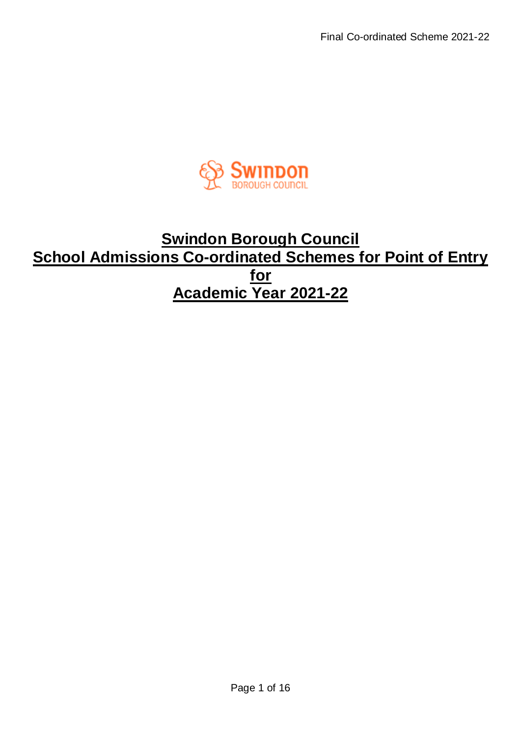

# **Swindon Borough Council School Admissions Co-ordinated Schemes for Point of Entry for Academic Year 2021-22**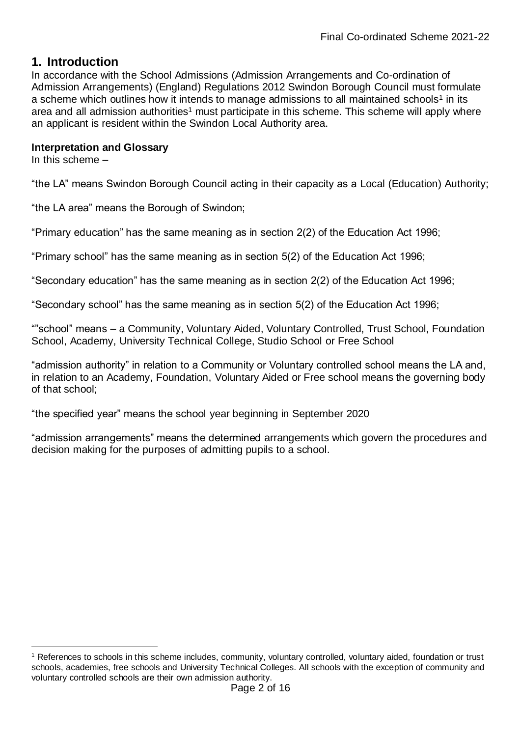### **1. Introduction**

In accordance with the School Admissions (Admission Arrangements and Co-ordination of Admission Arrangements) (England) Regulations 2012 Swindon Borough Council must formulate a scheme which outlines how it intends to manage admissions to all maintained schools<sup>1</sup> in its area and all admission authorities<sup>1</sup> must participate in this scheme. This scheme will apply where an applicant is resident within the Swindon Local Authority area.

#### **Interpretation and Glossary**

In this scheme –

1

"the LA" means Swindon Borough Council acting in their capacity as a Local (Education) Authority;

"the LA area" means the Borough of Swindon;

"Primary education" has the same meaning as in section 2(2) of the Education Act 1996;

"Primary school" has the same meaning as in section 5(2) of the Education Act 1996;

"Secondary education" has the same meaning as in section 2(2) of the Education Act 1996;

"Secondary school" has the same meaning as in section 5(2) of the Education Act 1996;

""school" means – a Community, Voluntary Aided, Voluntary Controlled, Trust School, Foundation School, Academy, University Technical College, Studio School or Free School

"admission authority" in relation to a Community or Voluntary controlled school means the LA and, in relation to an Academy, Foundation, Voluntary Aided or Free school means the governing body of that school;

"the specified year" means the school year beginning in September 2020

"admission arrangements" means the determined arrangements which govern the procedures and decision making for the purposes of admitting pupils to a school.

<sup>1</sup> References to schools in this scheme includes, community, voluntary controlled, voluntary aided, foundation or trust schools, academies, free schools and University Technical Colleges. All schools with the exception of community and voluntary controlled schools are their own admission authority.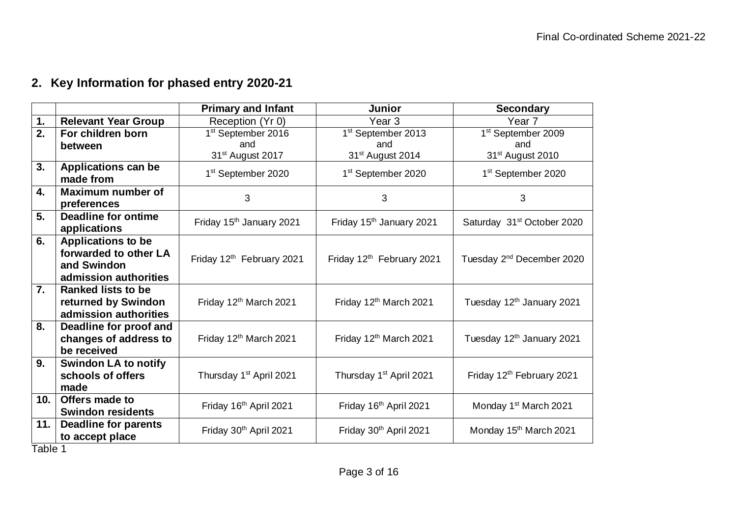# **2. Key Information for phased entry 2020-21**

|                  |                                            | <b>Primary and Infant</b>            | <b>Junior</b>                         | <b>Secondary</b>                       |
|------------------|--------------------------------------------|--------------------------------------|---------------------------------------|----------------------------------------|
| 1.               | <b>Relevant Year Group</b>                 | Reception (Yr 0)                     | Year <sub>3</sub>                     | Year 7                                 |
| 2.               | For children born                          | 1 <sup>st</sup> September 2016       | 1 <sup>st</sup> September 2013        | 1 <sup>st</sup> September 2009         |
|                  | between                                    | and                                  | and                                   | and                                    |
|                  |                                            | 31 <sup>st</sup> August 2017         | 31 <sup>st</sup> August 2014          | 31 <sup>st</sup> August 2010           |
| $\overline{3}$ . | <b>Applications can be</b>                 | 1 <sup>st</sup> September 2020       | 1 <sup>st</sup> September 2020        | 1 <sup>st</sup> September 2020         |
|                  | made from                                  |                                      |                                       |                                        |
| 4.               | <b>Maximum number of</b>                   | 3                                    | 3                                     | 3                                      |
|                  | preferences                                |                                      |                                       |                                        |
| 5.               | <b>Deadline for ontime</b><br>applications | Friday 15 <sup>th</sup> January 2021 | Friday 15 <sup>th</sup> January 2021  | Saturday 31 <sup>st</sup> October 2020 |
| 6.               | <b>Applications to be</b>                  |                                      |                                       |                                        |
|                  | forwarded to other LA                      |                                      |                                       |                                        |
|                  | and Swindon                                | Friday 12th February 2021            | Friday 12 <sup>th</sup> February 2021 | Tuesday 2 <sup>nd</sup> December 2020  |
|                  | admission authorities                      |                                      |                                       |                                        |
| $\overline{7}$ . | <b>Ranked lists to be</b>                  |                                      |                                       |                                        |
|                  | returned by Swindon                        | Friday 12 <sup>th</sup> March 2021   | Friday 12 <sup>th</sup> March 2021    | Tuesday 12 <sup>th</sup> January 2021  |
|                  | admission authorities                      |                                      |                                       |                                        |
| 8.               | <b>Deadline for proof and</b>              |                                      |                                       |                                        |
|                  | changes of address to                      | Friday 12 <sup>th</sup> March 2021   | Friday 12 <sup>th</sup> March 2021    | Tuesday 12 <sup>th</sup> January 2021  |
|                  | be received                                |                                      |                                       |                                        |
| 9.               | <b>Swindon LA to notify</b>                |                                      |                                       |                                        |
|                  | schools of offers                          | Thursday 1 <sup>st</sup> April 2021  | Thursday 1 <sup>st</sup> April 2021   | Friday 12 <sup>th</sup> February 2021  |
|                  | made                                       |                                      |                                       |                                        |
| 10.              | Offers made to                             | Friday 16th April 2021               | Friday 16th April 2021                | Monday 1 <sup>st</sup> March 2021      |
|                  | <b>Swindon residents</b>                   |                                      |                                       |                                        |
| 11.              | <b>Deadline for parents</b>                | Friday 30th April 2021               | Friday 30th April 2021                | Monday 15 <sup>th</sup> March 2021     |
| $T - L = 4$      | to accept place                            |                                      |                                       |                                        |

Table 1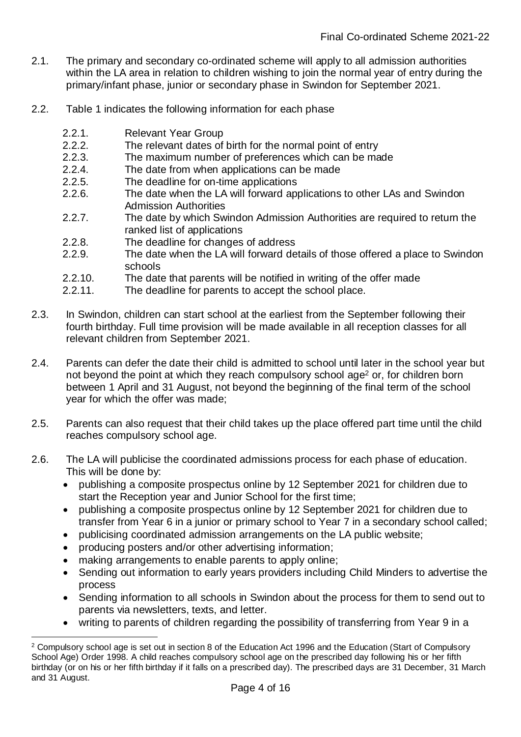- 2.1. The primary and secondary co-ordinated scheme will apply to all admission authorities within the LA area in relation to children wishing to join the normal year of entry during the primary/infant phase, junior or secondary phase in Swindon for September 2021.
- 2.2. Table 1 indicates the following information for each phase
	- 2.2.1. Relevant Year Group
	- 2.2.2. The relevant dates of birth for the normal point of entry
	- 2.2.3. The maximum number of preferences which can be made
	- 2.2.4. The date from when applications can be made
	- 2.2.5. The deadline for on-time applications
	- 2.2.6. The date when the LA will forward applications to other LAs and Swindon Admission Authorities
	- 2.2.7. The date by which Swindon Admission Authorities are required to return the ranked list of applications
	- 2.2.8. The deadline for changes of address
	- 2.2.9. The date when the LA will forward details of those offered a place to Swindon schools
	- 2.2.10. The date that parents will be notified in writing of the offer made
	- 2.2.11. The deadline for parents to accept the school place.
- 2.3. In Swindon, children can start school at the earliest from the September following their fourth birthday. Full time provision will be made available in all reception classes for all relevant children from September 2021.
- 2.4. Parents can defer the date their child is admitted to school until later in the school year but not beyond the point at which they reach compulsory school age<sup>2</sup> or, for children born between 1 April and 31 August, not beyond the beginning of the final term of the school year for which the offer was made;
- 2.5. Parents can also request that their child takes up the place offered part time until the child reaches compulsory school age.
- 2.6. The LA will publicise the coordinated admissions process for each phase of education. This will be done by:
	- publishing a composite prospectus online by 12 September 2021 for children due to start the Reception year and Junior School for the first time;
	- publishing a composite prospectus online by 12 September 2021 for children due to transfer from Year 6 in a junior or primary school to Year 7 in a secondary school called;
	- publicising coordinated admission arrangements on the LA public website;
	- producing posters and/or other advertising information;
	- making arrangements to enable parents to apply online;

1

- Sending out information to early years providers including Child Minders to advertise the process
- Sending information to all schools in Swindon about the process for them to send out to parents via newsletters, texts, and letter.
- writing to parents of children regarding the possibility of transferring from Year 9 in a

<sup>&</sup>lt;sup>2</sup> Compulsory school age is set out in section 8 of the Education Act 1996 and the Education (Start of Compulsory School Age) Order 1998. A child reaches compulsory school age on the prescribed day following his or her fifth birthday (or on his or her fifth birthday if it falls on a prescribed day). The prescribed days are 31 December, 31 March and 31 August.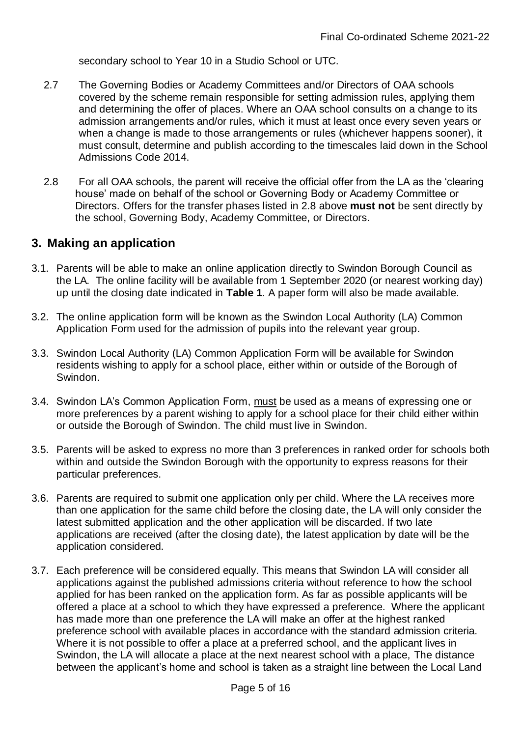secondary school to Year 10 in a Studio School or UTC.

- 2.7 The Governing Bodies or Academy Committees and/or Directors of OAA schools covered by the scheme remain responsible for setting admission rules, applying them and determining the offer of places. Where an OAA school consults on a change to its admission arrangements and/or rules, which it must at least once every seven years or when a change is made to those arrangements or rules (whichever happens sooner), it must consult, determine and publish according to the timescales laid down in the School Admissions Code 2014.
- 2.8 For all OAA schools, the parent will receive the official offer from the LA as the 'clearing house' made on behalf of the school or Governing Body or Academy Committee or Directors. Offers for the transfer phases listed in 2.8 above **must not** be sent directly by the school, Governing Body, Academy Committee, or Directors.

### **3. Making an application**

- 3.1. Parents will be able to make an online application directly to Swindon Borough Council as the LA. The online facility will be available from 1 September 2020 (or nearest working day) up until the closing date indicated in **Table 1**. A paper form will also be made available.
- 3.2. The online application form will be known as the Swindon Local Authority (LA) Common Application Form used for the admission of pupils into the relevant year group.
- 3.3. Swindon Local Authority (LA) Common Application Form will be available for Swindon residents wishing to apply for a school place, either within or outside of the Borough of Swindon.
- 3.4. Swindon LA's Common Application Form, must be used as a means of expressing one or more preferences by a parent wishing to apply for a school place for their child either within or outside the Borough of Swindon. The child must live in Swindon.
- 3.5. Parents will be asked to express no more than 3 preferences in ranked order for schools both within and outside the Swindon Borough with the opportunity to express reasons for their particular preferences.
- 3.6. Parents are required to submit one application only per child. Where the LA receives more than one application for the same child before the closing date, the LA will only consider the latest submitted application and the other application will be discarded. If two late applications are received (after the closing date), the latest application by date will be the application considered.
- 3.7. Each preference will be considered equally. This means that Swindon LA will consider all applications against the published admissions criteria without reference to how the school applied for has been ranked on the application form. As far as possible applicants will be offered a place at a school to which they have expressed a preference. Where the applicant has made more than one preference the LA will make an offer at the highest ranked preference school with available places in accordance with the standard admission criteria. Where it is not possible to offer a place at a preferred school, and the applicant lives in Swindon, the LA will allocate a place at the next nearest school with a place, The distance between the applicant's home and school is taken as a straight line between the Local Land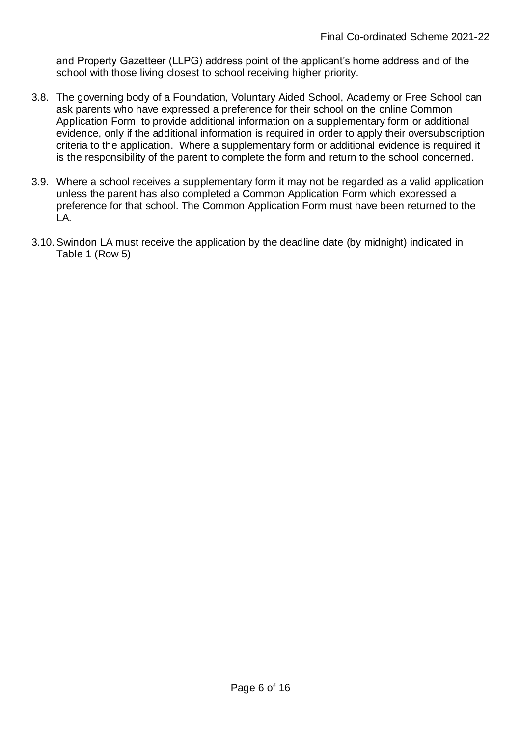and Property Gazetteer (LLPG) address point of the applicant's home address and of the school with those living closest to school receiving higher priority.

- 3.8. The governing body of a Foundation, Voluntary Aided School, Academy or Free School can ask parents who have expressed a preference for their school on the online Common Application Form, to provide additional information on a supplementary form or additional evidence, only if the additional information is required in order to apply their oversubscription criteria to the application. Where a supplementary form or additional evidence is required it is the responsibility of the parent to complete the form and return to the school concerned.
- 3.9. Where a school receives a supplementary form it may not be regarded as a valid application unless the parent has also completed a Common Application Form which expressed a preference for that school. The Common Application Form must have been returned to the LA.
- 3.10. Swindon LA must receive the application by the deadline date (by midnight) indicated in Table 1 (Row 5)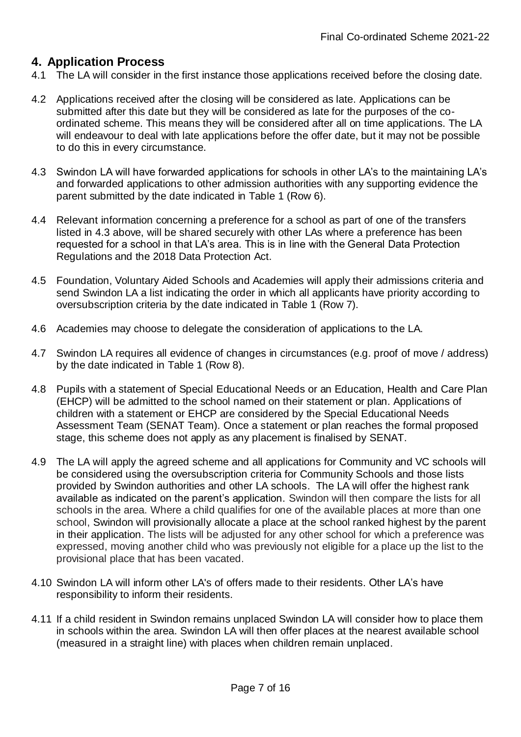## **4. Application Process**

- 4.1 The LA will consider in the first instance those applications received before the closing date.
- 4.2 Applications received after the closing will be considered as late. Applications can be submitted after this date but they will be considered as late for the purposes of the coordinated scheme. This means they will be considered after all on time applications. The LA will endeavour to deal with late applications before the offer date, but it may not be possible to do this in every circumstance.
- 4.3 Swindon LA will have forwarded applications for schools in other LA's to the maintaining LA's and forwarded applications to other admission authorities with any supporting evidence the parent submitted by the date indicated in Table 1 (Row 6).
- 4.4 Relevant information concerning a preference for a school as part of one of the transfers listed in 4.3 above, will be shared securely with other LAs where a preference has been requested for a school in that LA's area. This is in line with the General Data Protection Regulations and the 2018 Data Protection Act.
- 4.5 Foundation, Voluntary Aided Schools and Academies will apply their admissions criteria and send Swindon LA a list indicating the order in which all applicants have priority according to oversubscription criteria by the date indicated in Table 1 (Row 7).
- 4.6 Academies may choose to delegate the consideration of applications to the LA.
- 4.7 Swindon LA requires all evidence of changes in circumstances (e.g. proof of move / address) by the date indicated in Table 1 (Row 8).
- 4.8 Pupils with a statement of Special Educational Needs or an Education, Health and Care Plan (EHCP) will be admitted to the school named on their statement or plan. Applications of children with a statement or EHCP are considered by the Special Educational Needs Assessment Team (SENAT Team). Once a statement or plan reaches the formal proposed stage, this scheme does not apply as any placement is finalised by SENAT.
- 4.9 The LA will apply the agreed scheme and all applications for Community and VC schools will be considered using the oversubscription criteria for Community Schools and those lists provided by Swindon authorities and other LA schools. The LA will offer the highest rank available as indicated on the parent's application. Swindon will then compare the lists for all schools in the area. Where a child qualifies for one of the available places at more than one school, Swindon will provisionally allocate a place at the school ranked highest by the parent in their application. The lists will be adjusted for any other school for which a preference was expressed, moving another child who was previously not eligible for a place up the list to the provisional place that has been vacated.
- 4.10 Swindon LA will inform other LA's of offers made to their residents. Other LA's have responsibility to inform their residents.
- 4.11 If a child resident in Swindon remains unplaced Swindon LA will consider how to place them in schools within the area. Swindon LA will then offer places at the nearest available school (measured in a straight line) with places when children remain unplaced.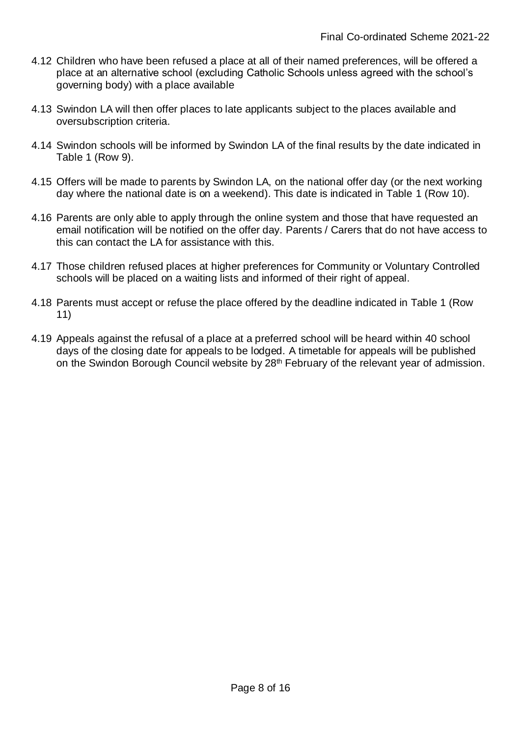- 4.12 Children who have been refused a place at all of their named preferences, will be offered a place at an alternative school (excluding Catholic Schools unless agreed with the school's governing body) with a place available
- 4.13 Swindon LA will then offer places to late applicants subject to the places available and oversubscription criteria.
- 4.14 Swindon schools will be informed by Swindon LA of the final results by the date indicated in Table 1 (Row 9).
- 4.15 Offers will be made to parents by Swindon LA, on the national offer day (or the next working day where the national date is on a weekend). This date is indicated in Table 1 (Row 10).
- 4.16 Parents are only able to apply through the online system and those that have requested an email notification will be notified on the offer day. Parents / Carers that do not have access to this can contact the LA for assistance with this.
- 4.17 Those children refused places at higher preferences for Community or Voluntary Controlled schools will be placed on a waiting lists and informed of their right of appeal.
- 4.18 Parents must accept or refuse the place offered by the deadline indicated in Table 1 (Row 11)
- 4.19 Appeals against the refusal of a place at a preferred school will be heard within 40 school days of the closing date for appeals to be lodged. A timetable for appeals will be published on the Swindon Borough Council website by 28<sup>th</sup> February of the relevant year of admission.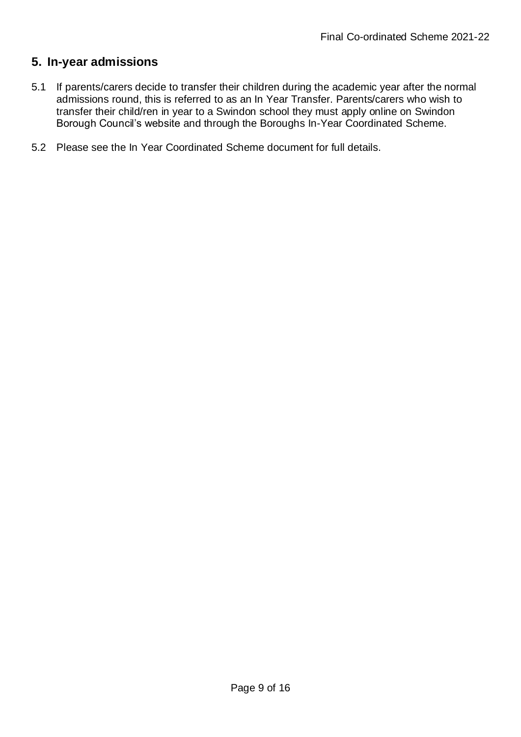## **5. In-year admissions**

- 5.1 If parents/carers decide to transfer their children during the academic year after the normal admissions round, this is referred to as an In Year Transfer. Parents/carers who wish to transfer their child/ren in year to a Swindon school they must apply online on Swindon Borough Council's website and through the Boroughs In-Year Coordinated Scheme.
- 5.2 Please see the In Year Coordinated Scheme document for full details.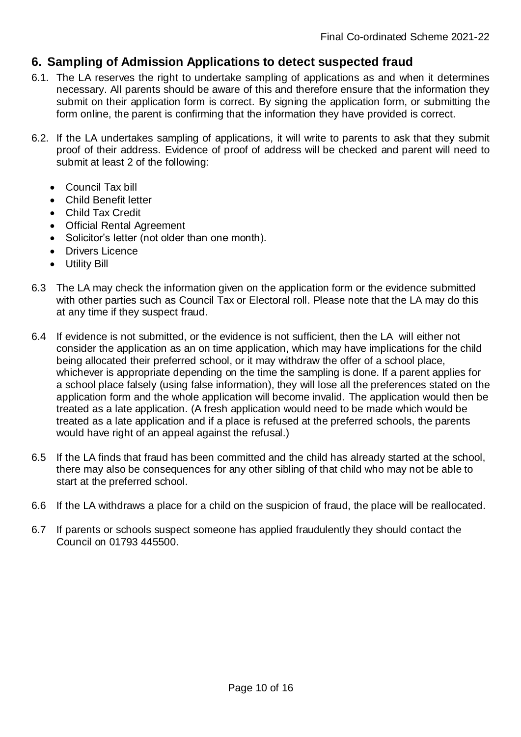# **6. Sampling of Admission Applications to detect suspected fraud**

- 6.1. The LA reserves the right to undertake sampling of applications as and when it determines necessary. All parents should be aware of this and therefore ensure that the information they submit on their application form is correct. By signing the application form, or submitting the form online, the parent is confirming that the information they have provided is correct.
- 6.2. If the LA undertakes sampling of applications, it will write to parents to ask that they submit proof of their address. Evidence of proof of address will be checked and parent will need to submit at least 2 of the following:
	- Council Tax bill
	- Child Benefit letter
	- Child Tax Credit
	- Official Rental Agreement
	- Solicitor's letter (not older than one month).
	- Drivers Licence
	- Utility Bill
- 6.3 The LA may check the information given on the application form or the evidence submitted with other parties such as Council Tax or Electoral roll. Please note that the LA may do this at any time if they suspect fraud.
- 6.4 If evidence is not submitted, or the evidence is not sufficient, then the LA will either not consider the application as an on time application, which may have implications for the child being allocated their preferred school, or it may withdraw the offer of a school place, whichever is appropriate depending on the time the sampling is done. If a parent applies for a school place falsely (using false information), they will lose all the preferences stated on the application form and the whole application will become invalid. The application would then be treated as a late application. (A fresh application would need to be made which would be treated as a late application and if a place is refused at the preferred schools, the parents would have right of an appeal against the refusal.)
- 6.5 If the LA finds that fraud has been committed and the child has already started at the school, there may also be consequences for any other sibling of that child who may not be able to start at the preferred school.
- 6.6 If the LA withdraws a place for a child on the suspicion of fraud, the place will be reallocated.
- 6.7 If parents or schools suspect someone has applied fraudulently they should contact the Council on 01793 445500.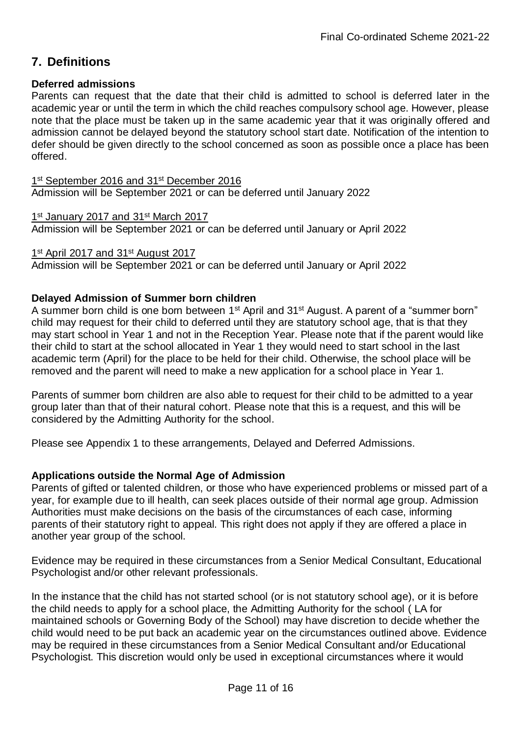# **7. Definitions**

#### **Deferred admissions**

Parents can request that the date that their child is admitted to school is deferred later in the academic year or until the term in which the child reaches compulsory school age. However, please note that the place must be taken up in the same academic year that it was originally offered and admission cannot be delayed beyond the statutory school start date. Notification of the intention to defer should be given directly to the school concerned as soon as possible once a place has been offered.

1<sup>st</sup> September 2016 and 31<sup>st</sup> December 2016 Admission will be September 2021 or can be deferred until January 2022

1<sup>st</sup> January 2017 and 31<sup>st</sup> March 2017 Admission will be September 2021 or can be deferred until January or April 2022

1<sup>st</sup> April 2017 and 31<sup>st</sup> August 2017

Admission will be September 2021 or can be deferred until January or April 2022

### **Delayed Admission of Summer born children**

A summer born child is one born between 1<sup>st</sup> April and 31<sup>st</sup> August. A parent of a "summer born" child may request for their child to deferred until they are statutory school age, that is that they may start school in Year 1 and not in the Reception Year. Please note that if the parent would like their child to start at the school allocated in Year 1 they would need to start school in the last academic term (April) for the place to be held for their child. Otherwise, the school place will be removed and the parent will need to make a new application for a school place in Year 1.

Parents of summer born children are also able to request for their child to be admitted to a year group later than that of their natural cohort. Please note that this is a request, and this will be considered by the Admitting Authority for the school.

Please see Appendix 1 to these arrangements, Delayed and Deferred Admissions.

### **Applications outside the Normal Age of Admission**

Parents of gifted or talented children, or those who have experienced problems or missed part of a year, for example due to ill health, can seek places outside of their normal age group. Admission Authorities must make decisions on the basis of the circumstances of each case, informing parents of their statutory right to appeal. This right does not apply if they are offered a place in another year group of the school.

Evidence may be required in these circumstances from a Senior Medical Consultant, Educational Psychologist and/or other relevant professionals.

In the instance that the child has not started school (or is not statutory school age), or it is before the child needs to apply for a school place, the Admitting Authority for the school ( LA for maintained schools or Governing Body of the School) may have discretion to decide whether the child would need to be put back an academic year on the circumstances outlined above. Evidence may be required in these circumstances from a Senior Medical Consultant and/or Educational Psychologist. This discretion would only be used in exceptional circumstances where it would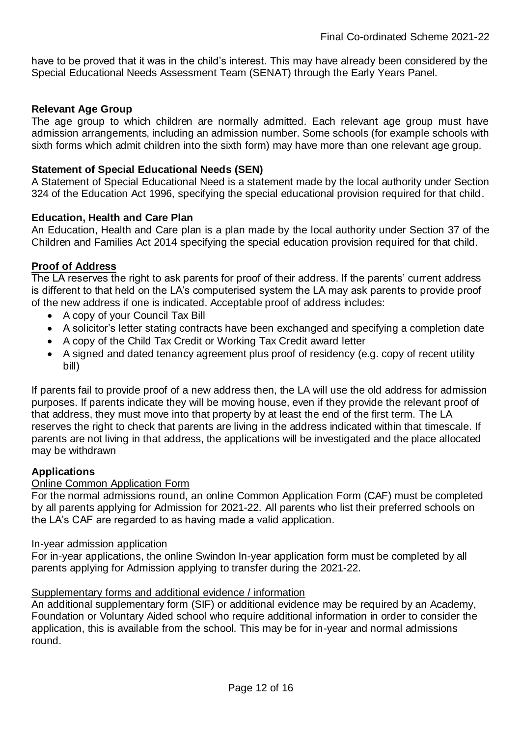have to be proved that it was in the child's interest. This may have already been considered by the Special Educational Needs Assessment Team (SENAT) through the Early Years Panel.

#### **Relevant Age Group**

The age group to which children are normally admitted. Each relevant age group must have admission arrangements, including an admission number. Some schools (for example schools with sixth forms which admit children into the sixth form) may have more than one relevant age group.

#### **Statement of Special Educational Needs (SEN)**

A Statement of Special Educational Need is a statement made by the local authority under Section 324 of the Education Act 1996, specifying the special educational provision required for that child.

#### **Education, Health and Care Plan**

An Education, Health and Care plan is a plan made by the local authority under Section 37 of the Children and Families Act 2014 specifying the special education provision required for that child.

#### **Proof of Address**

The LA reserves the right to ask parents for proof of their address. If the parents' current address is different to that held on the LA's computerised system the LA may ask parents to provide proof of the new address if one is indicated. Acceptable proof of address includes:

- A copy of your Council Tax Bill
- A solicitor's letter stating contracts have been exchanged and specifying a completion date
- A copy of the Child Tax Credit or Working Tax Credit award letter
- A signed and dated tenancy agreement plus proof of residency (e.g. copy of recent utility bill)

If parents fail to provide proof of a new address then, the LA will use the old address for admission purposes. If parents indicate they will be moving house, even if they provide the relevant proof of that address, they must move into that property by at least the end of the first term. The LA reserves the right to check that parents are living in the address indicated within that timescale. If parents are not living in that address, the applications will be investigated and the place allocated may be withdrawn

#### **Applications**

#### Online Common Application Form

For the normal admissions round, an online Common Application Form (CAF) must be completed by all parents applying for Admission for 2021-22. All parents who list their preferred schools on the LA's CAF are regarded to as having made a valid application.

#### In-year admission application

For in-year applications, the online Swindon In-year application form must be completed by all parents applying for Admission applying to transfer during the 2021-22.

#### Supplementary forms and additional evidence / information

An additional supplementary form (SIF) or additional evidence may be required by an Academy, Foundation or Voluntary Aided school who require additional information in order to consider the application, this is available from the school. This may be for in-year and normal admissions round.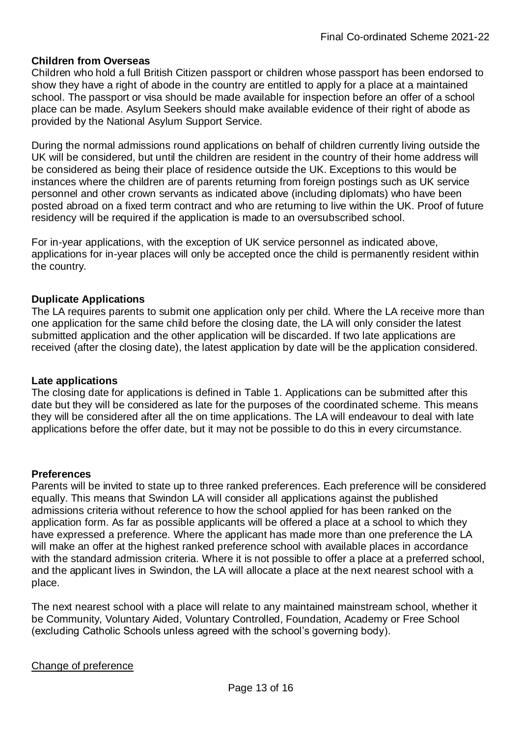#### **Children from Overseas**

Children who hold a full British Citizen passport or children whose passport has been endorsed to show they have a right of abode in the country are entitled to apply for a place at a maintained school. The passport or visa should be made available for inspection before an offer of a school place can be made. Asylum Seekers should make available evidence of their right of abode as provided by the National Asylum Support Service.

During the normal admissions round applications on behalf of children currently living outside the UK will be considered, but until the children are resident in the country of their home address will be considered as being their place of residence outside the UK. Exceptions to this would be instances where the children are of parents returning from foreign postings such as UK service personnel and other crown servants as indicated above (including diplomats) who have been posted abroad on a fixed term contract and who are returning to live within the UK. Proof of future residency will be required if the application is made to an oversubscribed school.

For in-year applications, with the exception of UK service personnel as indicated above, applications for in-year places will only be accepted once the child is permanently resident within the country.

#### **Duplicate Applications**

The LA requires parents to submit one application only per child. Where the LA receive more than one application for the same child before the closing date, the LA will only consider the latest submitted application and the other application will be discarded. If two late applications are received (after the closing date), the latest application by date will be the application considered.

#### **Late applications**

The closing date for applications is defined in Table 1. Applications can be submitted after this date but they will be considered as late for the purposes of the coordinated scheme. This means they will be considered after all the on time applications. The LA will endeavour to deal with late applications before the offer date, but it may not be possible to do this in every circumstance.

#### **Preferences**

Parents will be invited to state up to three ranked preferences. Each preference will be considered equally. This means that Swindon LA will consider all applications against the published admissions criteria without reference to how the school applied for has been ranked on the application form. As far as possible applicants will be offered a place at a school to which they have expressed a preference. Where the applicant has made more than one preference the LA will make an offer at the highest ranked preference school with available places in accordance with the standard admission criteria. Where it is not possible to offer a place at a preferred school, and the applicant lives in Swindon, the LA will allocate a place at the next nearest school with a place.

The next nearest school with a place will relate to any maintained mainstream school, whether it be Community, Voluntary Aided, Voluntary Controlled, Foundation, Academy or Free School (excluding Catholic Schools unless agreed with the school's governing body).

#### Change of preference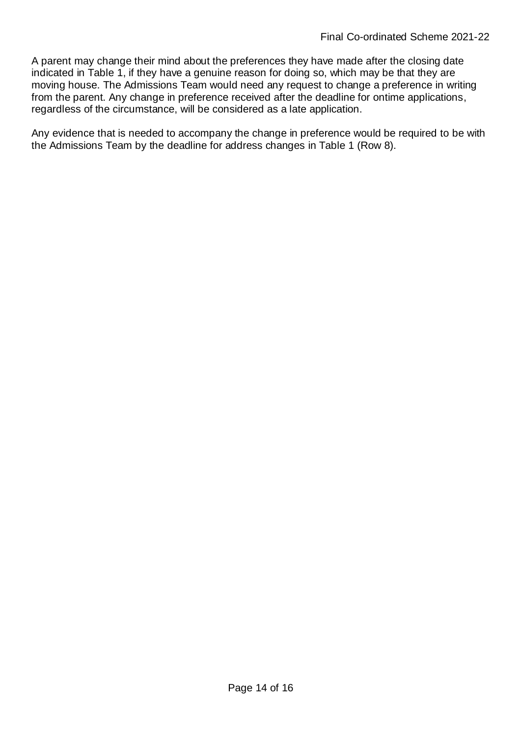A parent may change their mind about the preferences they have made after the closing date indicated in Table 1, if they have a genuine reason for doing so, which may be that they are moving house. The Admissions Team would need any request to change a preference in writing from the parent. Any change in preference received after the deadline for ontime applications, regardless of the circumstance, will be considered as a late application.

Any evidence that is needed to accompany the change in preference would be required to be with the Admissions Team by the deadline for address changes in Table 1 (Row 8).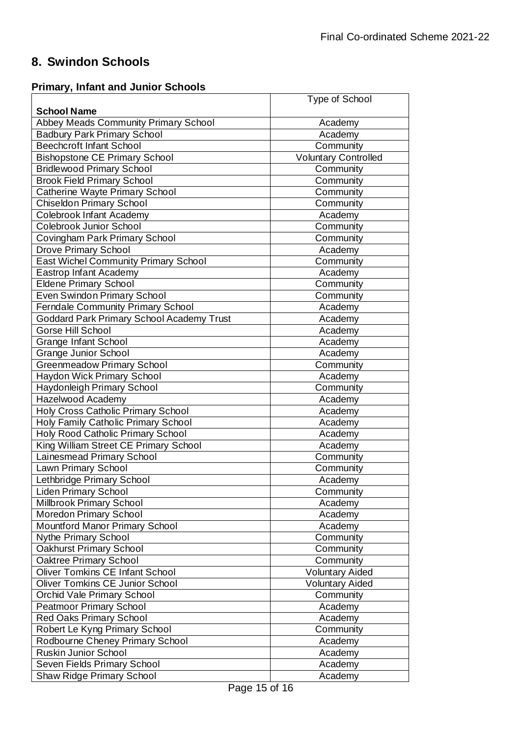# **8. Swindon Schools**

# **Primary, Infant and Junior Schools**

|                                             | Type of School              |
|---------------------------------------------|-----------------------------|
| <b>School Name</b>                          |                             |
| <b>Abbey Meads Community Primary School</b> | Academy                     |
| <b>Badbury Park Primary School</b>          | Academy                     |
| <b>Beechcroft Infant School</b>             | Community                   |
| <b>Bishopstone CE Primary School</b>        | <b>Voluntary Controlled</b> |
| <b>Bridlewood Primary School</b>            | Community                   |
| <b>Brook Field Primary School</b>           | Community                   |
| Catherine Wayte Primary School              | Community                   |
| <b>Chiseldon Primary School</b>             | Community                   |
| Colebrook Infant Academy                    | Academy                     |
| Colebrook Junior School                     | Community                   |
| Covingham Park Primary School               | Community                   |
| <b>Drove Primary School</b>                 | Academy                     |
| <b>East Wichel Community Primary School</b> | Community                   |
| Eastrop Infant Academy                      | Academy                     |
| <b>Eldene Primary School</b>                | Community                   |
| Even Swindon Primary School                 | Community                   |
| Ferndale Community Primary School           | Academy                     |
| Goddard Park Primary School Academy Trust   | Academy                     |
| Gorse Hill School                           | Academy                     |
| <b>Grange Infant School</b>                 | Academy                     |
| <b>Grange Junior School</b>                 | Academy                     |
| <b>Greenmeadow Primary School</b>           | Community                   |
| <b>Haydon Wick Primary School</b>           | Academy                     |
| Haydonleigh Primary School                  | Community                   |
| Hazelwood Academy                           | Academy                     |
| Holy Cross Catholic Primary School          | Academy                     |
| Holy Family Catholic Primary School         | Academy                     |
| Holy Rood Catholic Primary School           | Academy                     |
| King William Street CE Primary School       | Academy                     |
| Lainesmead Primary School                   | Community                   |
| Lawn Primary School                         | Community                   |
| Lethbridge Primary School                   | Academy                     |
| <b>Liden Primary School</b>                 | Community                   |
| Millbrook Primary School                    | Academy                     |
| Moredon Primary School                      | Academy                     |
| <b>Mountford Manor Primary School</b>       | Academy                     |
| Nythe Primary School                        | Community                   |
| Oakhurst Primary School                     | Community                   |
| Oaktree Primary School                      | Community                   |
| <b>Oliver Tomkins CE Infant School</b>      | <b>Voluntary Aided</b>      |
| Oliver Tomkins CE Junior School             | <b>Voluntary Aided</b>      |
| Orchid Vale Primary School                  | Community                   |
| <b>Peatmoor Primary School</b>              | Academy                     |
| <b>Red Oaks Primary School</b>              | Academy                     |
| Robert Le Kyng Primary School               | Community                   |
| Rodbourne Cheney Primary School             | Academy                     |
| Ruskin Junior School                        | Academy                     |
| Seven Fields Primary School                 | Academy                     |
| <b>Shaw Ridge Primary School</b>            | Academy                     |
|                                             |                             |